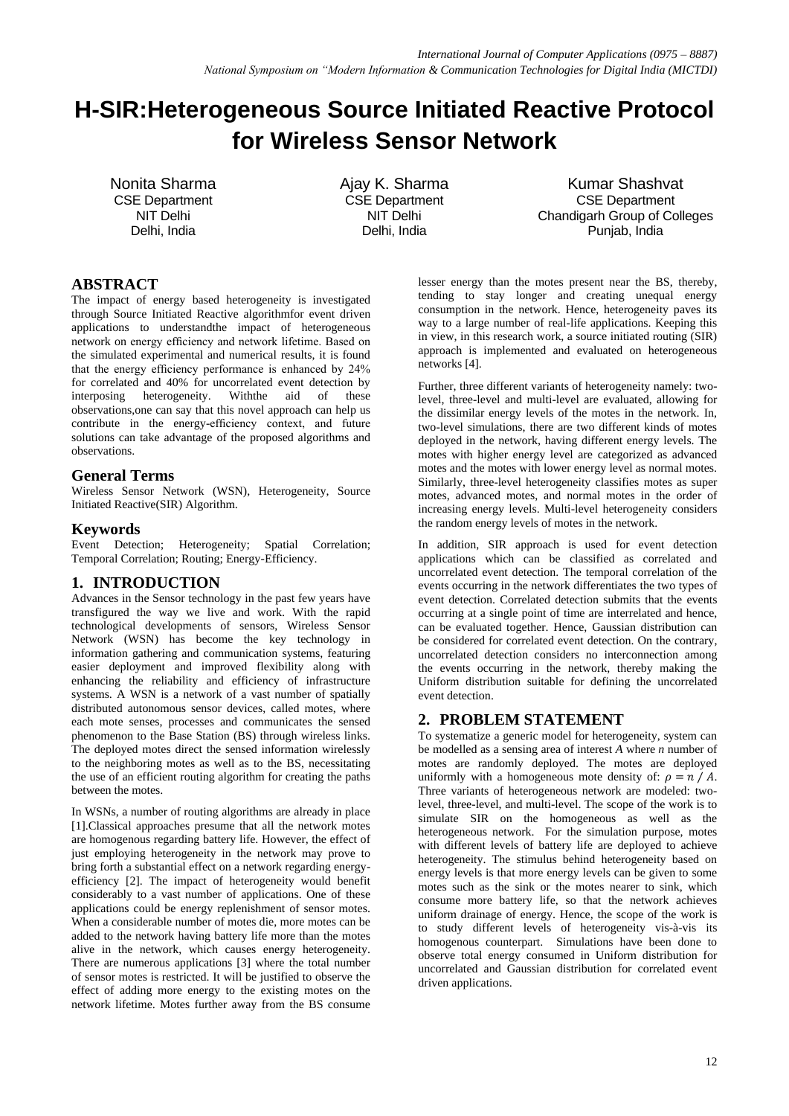# **H-SIR:Heterogeneous Source Initiated Reactive Protocol for Wireless Sensor Network**

Nonita Sharma CSE Department NIT Delhi Delhi, India

Ajay K. Sharma CSE Department NIT Delhi Delhi, India

Kumar Shashvat CSE Department Chandigarh Group of Colleges Punjab, India

## **ABSTRACT**

The impact of energy based heterogeneity is investigated through Source Initiated Reactive algorithmfor event driven applications to understandthe impact of heterogeneous network on energy efficiency and network lifetime. Based on the simulated experimental and numerical results, it is found that the energy efficiency performance is enhanced by 24% for correlated and 40% for uncorrelated event detection by interposing heterogeneity. Withthe aid of these observations,one can say that this novel approach can help us contribute in the energy-efficiency context, and future solutions can take advantage of the proposed algorithms and observations.

### **General Terms**

Wireless Sensor Network (WSN), Heterogeneity, Source Initiated Reactive(SIR) Algorithm.

#### **Keywords**

Event Detection; Heterogeneity; Spatial Correlation; Temporal Correlation; Routing; Energy-Efficiency.

## **1. INTRODUCTION**

Advances in the Sensor technology in the past few years have transfigured the way we live and work. With the rapid technological developments of sensors, Wireless Sensor Network (WSN) has become the key technology in information gathering and communication systems, featuring easier deployment and improved flexibility along with enhancing the reliability and efficiency of infrastructure systems. A WSN is a network of a vast number of spatially distributed autonomous sensor devices, called motes, where each mote senses, processes and communicates the sensed phenomenon to the Base Station (BS) through wireless links. The deployed motes direct the sensed information wirelessly to the neighboring motes as well as to the BS, necessitating the use of an efficient routing algorithm for creating the paths between the motes.

In WSNs, a number of routing algorithms are already in place [1].Classical approaches presume that all the network motes are homogenous regarding battery life. However, the effect of just employing heterogeneity in the network may prove to bring forth a substantial effect on a network regarding energyefficiency [2]. The impact of heterogeneity would benefit considerably to a vast number of applications. One of these applications could be energy replenishment of sensor motes. When a considerable number of motes die, more motes can be added to the network having battery life more than the motes alive in the network, which causes energy heterogeneity. There are numerous applications [3] where the total number of sensor motes is restricted. It will be justified to observe the effect of adding more energy to the existing motes on the network lifetime. Motes further away from the BS consume

lesser energy than the motes present near the BS, thereby, tending to stay longer and creating unequal energy consumption in the network. Hence, heterogeneity paves its way to a large number of real-life applications. Keeping this in view, in this research work, a source initiated routing (SIR) approach is implemented and evaluated on heterogeneous networks [4].

Further, three different variants of heterogeneity namely: twolevel, three-level and multi-level are evaluated, allowing for the dissimilar energy levels of the motes in the network. In, two-level simulations, there are two different kinds of motes deployed in the network, having different energy levels. The motes with higher energy level are categorized as advanced motes and the motes with lower energy level as normal motes. Similarly, three-level heterogeneity classifies motes as super motes, advanced motes, and normal motes in the order of increasing energy levels. Multi-level heterogeneity considers the random energy levels of motes in the network.

In addition, SIR approach is used for event detection applications which can be classified as correlated and uncorrelated event detection. The temporal correlation of the events occurring in the network differentiates the two types of event detection. Correlated detection submits that the events occurring at a single point of time are interrelated and hence, can be evaluated together. Hence, Gaussian distribution can be considered for correlated event detection. On the contrary, uncorrelated detection considers no interconnection among the events occurring in the network, thereby making the Uniform distribution suitable for defining the uncorrelated event detection.

### **2. PROBLEM STATEMENT**

To systematize a generic model for heterogeneity, system can be modelled as a sensing area of interest *A* where *n* number of motes are randomly deployed. The motes are deployed uniformly with a homogeneous mote density of:  $\rho = n / A$ . Three variants of heterogeneous network are modeled: twolevel, three-level, and multi-level. The scope of the work is to simulate SIR on the homogeneous as well as the heterogeneous network. For the simulation purpose, motes with different levels of battery life are deployed to achieve heterogeneity. The stimulus behind heterogeneity based on energy levels is that more energy levels can be given to some motes such as the sink or the motes nearer to sink, which consume more battery life, so that the network achieves uniform drainage of energy. Hence, the scope of the work is to study different levels of heterogeneity vis-à-vis its homogenous counterpart. Simulations have been done to observe total energy consumed in Uniform distribution for uncorrelated and Gaussian distribution for correlated event driven applications.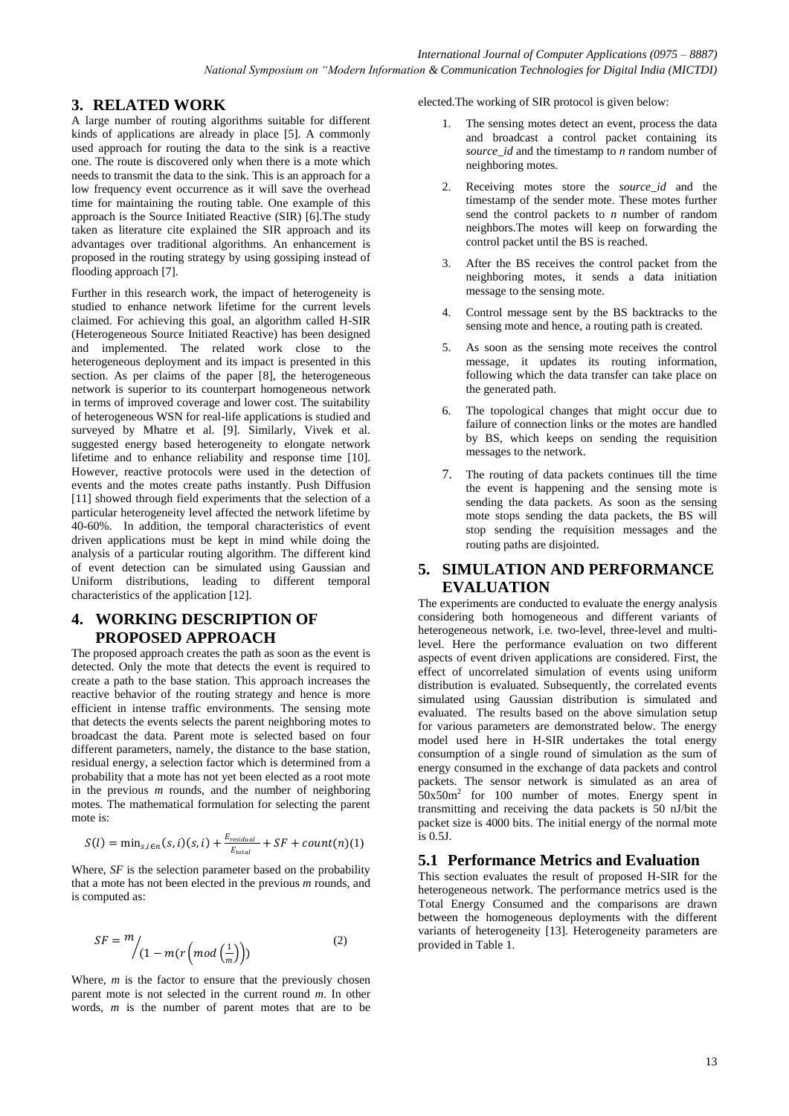#### **3. RELATED WORK**

A large number of routing algorithms suitable for different kinds of applications are already in place [5]. A commonly used approach for routing the data to the sink is a reactive one. The route is discovered only when there is a mote which needs to transmit the data to the sink. This is an approach for a low frequency event occurrence as it will save the overhead time for maintaining the routing table. One example of this approach is the Source Initiated Reactive (SIR) [6].The study taken as literature cite explained the SIR approach and its advantages over traditional algorithms. An enhancement is proposed in the routing strategy by using gossiping instead of flooding approach [7].

Further in this research work, the impact of heterogeneity is studied to enhance network lifetime for the current levels claimed. For achieving this goal, an algorithm called H-SIR (Heterogeneous Source Initiated Reactive) has been designed and implemented. The related work close to the heterogeneous deployment and its impact is presented in this section. As per claims of the paper [8], the heterogeneous network is superior to its counterpart homogeneous network in terms of improved coverage and lower cost. The suitability of heterogeneous WSN for real-life applications is studied and surveyed by Mhatre et al. [9]. Similarly, Vivek et al. suggested energy based heterogeneity to elongate network lifetime and to enhance reliability and response time [10]. However, reactive protocols were used in the detection of events and the motes create paths instantly. Push Diffusion [11] showed through field experiments that the selection of a particular heterogeneity level affected the network lifetime by 40-60%. In addition, the temporal characteristics of event driven applications must be kept in mind while doing the analysis of a particular routing algorithm. The different kind of event detection can be simulated using Gaussian and Uniform distributions, leading to different temporal characteristics of the application [12].

#### **4. WORKING DESCRIPTION OF PROPOSED APPROACH**

The proposed approach creates the path as soon as the event is detected. Only the mote that detects the event is required to create a path to the base station. This approach increases the reactive behavior of the routing strategy and hence is more efficient in intense traffic environments. The sensing mote that detects the events selects the parent neighboring motes to broadcast the data. Parent mote is selected based on four different parameters, namely, the distance to the base station, residual energy, a selection factor which is determined from a probability that a mote has not yet been elected as a root mote in the previous *m* rounds, and the number of neighboring motes. The mathematical formulation for selecting the parent mote is:

$$
S(l) = \min_{s,i \in n} (s,i)(s,i) + \frac{E_{residual}}{E_{total}} + SF + count(n)(1)
$$

Where, *SF* is the selection parameter based on the probability that a mote has not been elected in the previous *m* rounds, and is computed as:

$$
SF = \frac{m}{\left(1 - m(r\left(mod\left(\frac{1}{m}\right)\right)\right)}\tag{2}
$$

Where,  $m$  is the factor to ensure that the previously chosen parent mote is not selected in the current round *m*. In other words, *m* is the number of parent motes that are to be

elected.The working of SIR protocol is given below:

- 1. The sensing motes detect an event, process the data and broadcast a control packet containing its *source\_id* and the timestamp to *n* random number of neighboring motes.
- 2. Receiving motes store the *source\_id* and the timestamp of the sender mote. These motes further send the control packets to *n* number of random neighbors.The motes will keep on forwarding the control packet until the BS is reached.
- 3. After the BS receives the control packet from the neighboring motes, it sends a data initiation message to the sensing mote.
- 4. Control message sent by the BS backtracks to the sensing mote and hence, a routing path is created.
- 5. As soon as the sensing mote receives the control message, it updates its routing information, following which the data transfer can take place on the generated path.
- 6. The topological changes that might occur due to failure of connection links or the motes are handled by BS, which keeps on sending the requisition messages to the network.
- 7. The routing of data packets continues till the time the event is happening and the sensing mote is sending the data packets. As soon as the sensing mote stops sending the data packets, the BS will stop sending the requisition messages and the routing paths are disjointed.

#### **5. SIMULATION AND PERFORMANCE EVALUATION**

The experiments are conducted to evaluate the energy analysis considering both homogeneous and different variants of heterogeneous network, i.e. two-level, three-level and multilevel. Here the performance evaluation on two different aspects of event driven applications are considered. First, the effect of uncorrelated simulation of events using uniform distribution is evaluated. Subsequently, the correlated events simulated using Gaussian distribution is simulated and evaluated. The results based on the above simulation setup for various parameters are demonstrated below. The energy model used here in H-SIR undertakes the total energy consumption of a single round of simulation as the sum of energy consumed in the exchange of data packets and control packets. The sensor network is simulated as an area of  $50x50m<sup>2</sup>$  for 100 number of motes. Energy spent in transmitting and receiving the data packets is 50 nJ/bit the packet size is 4000 bits. The initial energy of the normal mote is 0.5J.

#### **5.1 Performance Metrics and Evaluation**

This section evaluates the result of proposed H-SIR for the heterogeneous network. The performance metrics used is the Total Energy Consumed and the comparisons are drawn between the homogeneous deployments with the different variants of heterogeneity [13]. Heterogeneity parameters are provided in Table 1.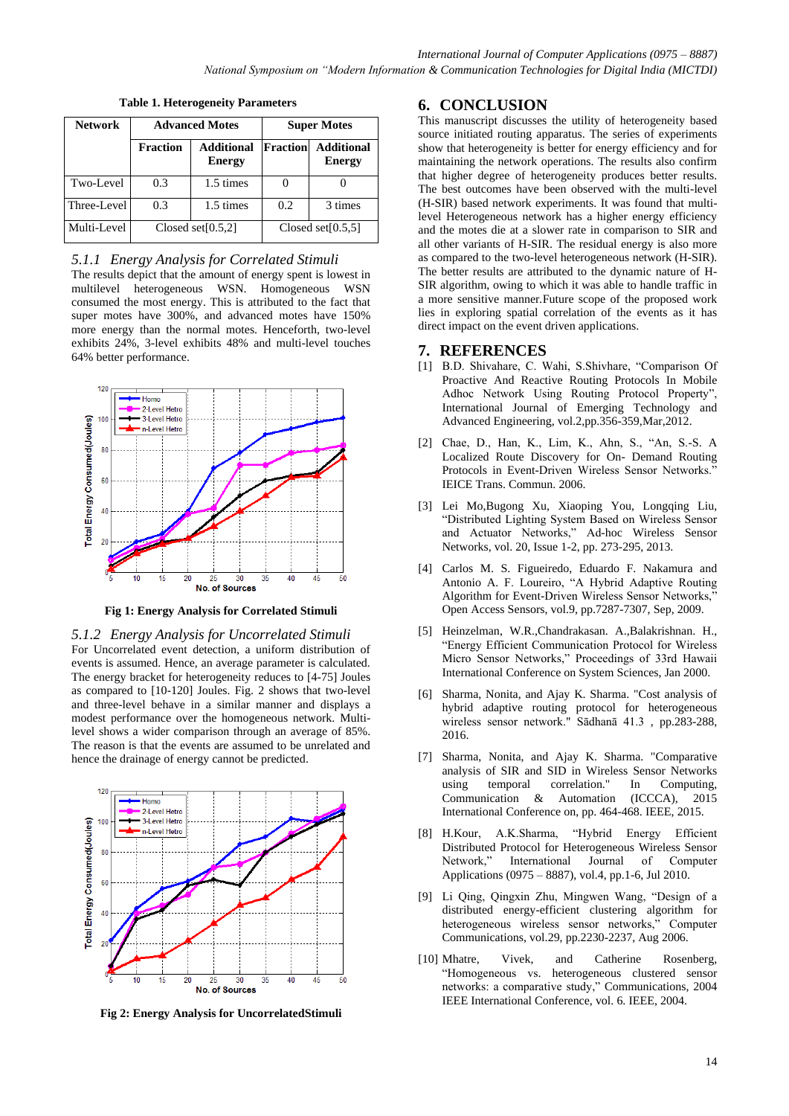| <b>Network</b> | <b>Advanced Motes</b> |                                    | <b>Super Motes</b>   |                                    |
|----------------|-----------------------|------------------------------------|----------------------|------------------------------------|
|                | <b>Fraction</b>       | <b>Additional</b><br><b>Energy</b> | Fraction             | <b>Additional</b><br><b>Energy</b> |
| Two-Level      | 0.3                   | 1.5 times                          |                      |                                    |
| Three-Level    | 0.3                   | 1.5 times                          | 0.2                  | 3 times                            |
| Multi-Level    | Closed set $[0.5,2]$  |                                    | Closed set $[0.5,5]$ |                                    |

**Table 1. Heterogeneity Parameters**

### *5.1.1 Energy Analysis for Correlated Stimuli*

The results depict that the amount of energy spent is lowest in multilevel heterogeneous WSN. Homogeneous WSN consumed the most energy. This is attributed to the fact that super motes have 300%, and advanced motes have 150% more energy than the normal motes. Henceforth, two-level exhibits 24%, 3-level exhibits 48% and multi-level touches 64% better performance.



**Fig 1: Energy Analysis for Correlated Stimuli**

*5.1.2 Energy Analysis for Uncorrelated Stimuli* For Uncorrelated event detection, a uniform distribution of events is assumed. Hence, an average parameter is calculated. The energy bracket for heterogeneity reduces to [4-75] Joules as compared to [10-120] Joules. Fig. 2 shows that two-level and three-level behave in a similar manner and displays a modest performance over the homogeneous network. Multilevel shows a wider comparison through an average of 85%. The reason is that the events are assumed to be unrelated and hence the drainage of energy cannot be predicted.



**Fig 2: Energy Analysis for UncorrelatedStimuli**

## **6. CONCLUSION**

This manuscript discusses the utility of heterogeneity based source initiated routing apparatus. The series of experiments show that heterogeneity is better for energy efficiency and for maintaining the network operations. The results also confirm that higher degree of heterogeneity produces better results. The best outcomes have been observed with the multi-level (H-SIR) based network experiments. It was found that multilevel Heterogeneous network has a higher energy efficiency and the motes die at a slower rate in comparison to SIR and all other variants of H-SIR. The residual energy is also more as compared to the two-level heterogeneous network (H-SIR). The better results are attributed to the dynamic nature of H-SIR algorithm, owing to which it was able to handle traffic in a more sensitive manner*.*Future scope of the proposed work lies in exploring spatial correlation of the events as it has direct impact on the event driven applications.

#### **7. REFERENCES**

- [1] B.D. Shivahare, C. Wahi, S.Shivhare, "Comparison Of Proactive And Reactive Routing Protocols In Mobile Adhoc Network Using Routing Protocol Property", International Journal of Emerging Technology and Advanced Engineering, vol.2,pp.356-359,Mar,2012.
- [2] Chae, D., Han, K., Lim, K., Ahn, S., "An, S.-S. A Localized Route Discovery for On- Demand Routing Protocols in Event-Driven Wireless Sensor Networks." IEICE Trans. Commun. 2006.
- [3] Lei Mo,Bugong Xu, Xiaoping You, Longqing Liu, "Distributed Lighting System Based on Wireless Sensor and Actuator Networks," Ad-hoc Wireless Sensor Networks, vol. 20, Issue 1-2, pp. 273-295, 2013.
- [4] Carlos M. S. Figueiredo, Eduardo F. Nakamura and Antonio A. F. Loureiro, "A Hybrid Adaptive Routing Algorithm for Event-Driven Wireless Sensor Networks, Open Access Sensors, vol.9, pp.7287-7307, Sep, 2009.
- [5] Heinzelman, W.R.,Chandrakasan. A.,Balakrishnan. H., "Energy Efficient Communication Protocol for Wireless Micro Sensor Networks," Proceedings of 33rd Hawaii International Conference on System Sciences, Jan 2000.
- [6] Sharma, Nonita, and Ajay K. Sharma. "Cost analysis of hybrid adaptive routing protocol for heterogeneous wireless sensor network." Sādhanā 41.3 , pp.283-288, 2016.
- [7] Sharma, Nonita, and Ajay K. Sharma. "Comparative analysis of SIR and SID in Wireless Sensor Networks using temporal correlation." In Computing, Communication & Automation (ICCCA), 2015 International Conference on, pp. 464-468. IEEE, 2015.
- [8] H.Kour, A.K.Sharma, "Hybrid Energy Efficient Distributed Protocol for Heterogeneous Wireless Sensor Journal of Computer Applications (0975 – 8887), vol.4, pp.1-6, Jul 2010.
- [9] Li Qing, Qingxin Zhu, Mingwen Wang, "Design of a distributed energy-efficient clustering algorithm for heterogeneous wireless sensor networks," Computer Communications, vol.29, pp.2230-2237, Aug 2006.
- [10] Mhatre, Vivek, and Catherine Rosenberg, "Homogeneous vs. heterogeneous clustered sensor networks: a comparative study," Communications, 2004 IEEE International Conference, vol. 6. IEEE, 2004.